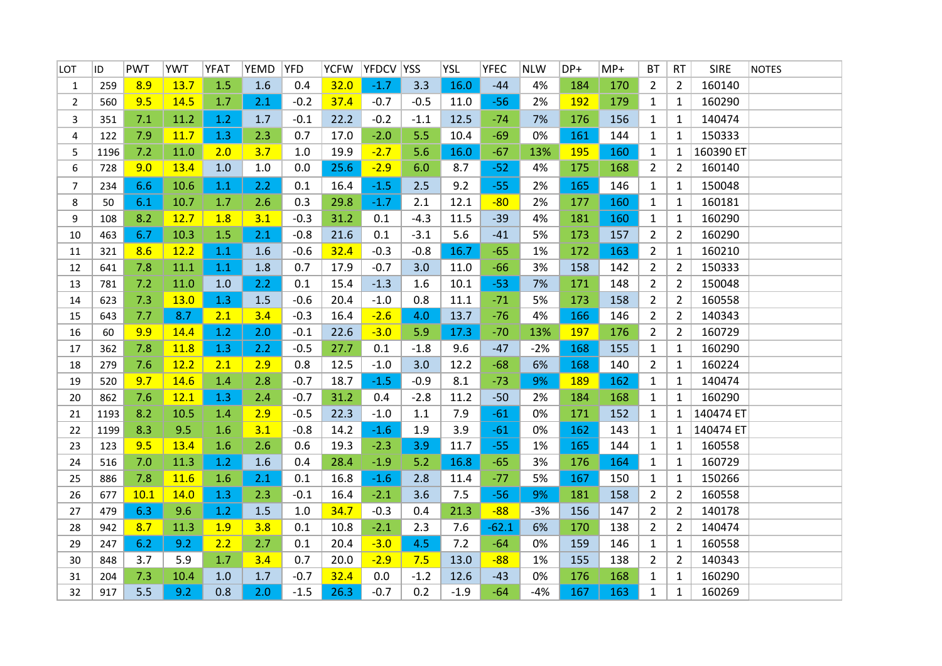| LOT            | ID   | <b>PWT</b> | YWT  | <b>YFAT</b> | <b>YEMD</b> | <b>YFD</b> | <b>YCFW</b> | YFDCV YSS |        | <b>YSL</b> | <b>YFEC</b> | <b>NLW</b> | DP+ | $MP+$ | <b>BT</b>      | <b>RT</b>      | <b>SIRE</b> | <b>NOTES</b> |
|----------------|------|------------|------|-------------|-------------|------------|-------------|-----------|--------|------------|-------------|------------|-----|-------|----------------|----------------|-------------|--------------|
| 1              | 259  | 8.9        | 13.7 | 1.5         | 1.6         | 0.4        | 32.0        | $-1.7$    | 3.3    | 16.0       | $-44$       | 4%         | 184 | 170   | $\overline{2}$ | 2              | 160140      |              |
| $\overline{2}$ | 560  | 9.5        | 14.5 | 1.7         | 2.1         | $-0.2$     | 37.4        | $-0.7$    | $-0.5$ | 11.0       | $-56$       | 2%         | 192 | 179   | $\mathbf{1}$   | 1              | 160290      |              |
| 3              | 351  | 7.1        | 11.2 | 1.2         | 1.7         | $-0.1$     | 22.2        | $-0.2$    | $-1.1$ | 12.5       | $-74$       | 7%         | 176 | 156   | $\mathbf{1}$   | 1              | 140474      |              |
| 4              | 122  | 7.9        | 11.7 | 1.3         | 2.3         | 0.7        | 17.0        | $-2.0$    | 5.5    | 10.4       | $-69$       | 0%         | 161 | 144   | $\mathbf{1}$   | 1              | 150333      |              |
| 5              | 1196 | 7.2        | 11.0 | 2.0         | 3.7         | 1.0        | 19.9        | $-2.7$    | 5.6    | 16.0       | $-67$       | 13%        | 195 | 160   | $\mathbf{1}$   | 1              | 160390 ET   |              |
| 6              | 728  | 9.0        | 13.4 | 1.0         | 1.0         | 0.0        | 25.6        | $-2.9$    | 6.0    | 8.7        | $-52$       | 4%         | 175 | 168   | $\overline{2}$ | $\overline{2}$ | 160140      |              |
| 7              | 234  | 6.6        | 10.6 | 1.1         | 2.2         | 0.1        | 16.4        | $-1.5$    | 2.5    | 9.2        | $-55$       | 2%         | 165 | 146   | $\mathbf{1}$   | 1              | 150048      |              |
| 8              | 50   | 6.1        | 10.7 | 1.7         | 2.6         | 0.3        | 29.8        | $-1.7$    | 2.1    | 12.1       | $-80$       | 2%         | 177 | 160   | $\mathbf{1}$   | $\mathbf{1}$   | 160181      |              |
| 9              | 108  | 8.2        | 12.7 | 1.8         | 3.1         | $-0.3$     | 31.2        | 0.1       | $-4.3$ | 11.5       | $-39$       | 4%         | 181 | 160   | $\mathbf{1}$   | $\mathbf{1}$   | 160290      |              |
| 10             | 463  | 6.7        | 10.3 | 1.5         | 2.1         | $-0.8$     | 21.6        | 0.1       | $-3.1$ | 5.6        | $-41$       | 5%         | 173 | 157   | $\overline{2}$ | $\overline{2}$ | 160290      |              |
| 11             | 321  | 8.6        | 12.2 | 1.1         | 1.6         | $-0.6$     | 32.4        | $-0.3$    | $-0.8$ | 16.7       | $-65$       | 1%         | 172 | 163   | $\overline{2}$ | $\mathbf{1}$   | 160210      |              |
| 12             | 641  | 7.8        | 11.1 | 1.1         | 1.8         | 0.7        | 17.9        | $-0.7$    | 3.0    | 11.0       | $-66$       | 3%         | 158 | 142   | $\overline{2}$ | 2              | 150333      |              |
| 13             | 781  | 7.2        | 11.0 | 1.0         | 2.2         | 0.1        | 15.4        | $-1.3$    | 1.6    | 10.1       | $-53$       | 7%         | 171 | 148   | $\overline{2}$ | $\overline{2}$ | 150048      |              |
| 14             | 623  | 7.3        | 13.0 | 1.3         | 1.5         | $-0.6$     | 20.4        | $-1.0$    | 0.8    | 11.1       | $-71$       | 5%         | 173 | 158   | $\overline{2}$ | $\overline{2}$ | 160558      |              |
| 15             | 643  | 7.7        | 8.7  | 2.1         | 3.4         | $-0.3$     | 16.4        | $-2.6$    | 4.0    | 13.7       | $-76$       | 4%         | 166 | 146   | $\overline{2}$ | 2              | 140343      |              |
| 16             | 60   | 9.9        | 14.4 | 1.2         | 2.0         | $-0.1$     | 22.6        | $-3.0$    | 5.9    | 17.3       | $-70$       | 13%        | 197 | 176   | $\overline{2}$ | 2              | 160729      |              |
| 17             | 362  | 7.8        | 11.8 | 1.3         | 2.2         | $-0.5$     | 27.7        | 0.1       | $-1.8$ | 9.6        | $-47$       | $-2%$      | 168 | 155   | $\mathbf{1}$   | $\mathbf{1}$   | 160290      |              |
| 18             | 279  | 7.6        | 12.2 | 2.1         | 2.9         | 0.8        | 12.5        | $-1.0$    | 3.0    | 12.2       | $-68$       | 6%         | 168 | 140   | $\overline{2}$ | $\mathbf{1}$   | 160224      |              |
| 19             | 520  | 9.7        | 14.6 | 1.4         | 2.8         | $-0.7$     | 18.7        | $-1.5$    | $-0.9$ | 8.1        | $-73$       | 9%         | 189 | 162   | $\mathbf{1}$   | 1              | 140474      |              |
| 20             | 862  | 7.6        | 12.1 | 1.3         | 2.4         | $-0.7$     | 31.2        | 0.4       | $-2.8$ | 11.2       | $-50$       | 2%         | 184 | 168   | $\mathbf{1}$   | $\mathbf{1}$   | 160290      |              |
| 21             | 1193 | 8.2        | 10.5 | 1.4         | 2.9         | $-0.5$     | 22.3        | $-1.0$    | 1.1    | 7.9        | $-61$       | 0%         | 171 | 152   | $\mathbf{1}$   | $\mathbf{1}$   | 140474 ET   |              |
| 22             | 1199 | 8.3        | 9.5  | 1.6         | 3.1         | $-0.8$     | 14.2        | $-1.6$    | 1.9    | 3.9        | $-61$       | 0%         | 162 | 143   | $\mathbf{1}$   | 1              | 140474 ET   |              |
| 23             | 123  | 9.5        | 13.4 | 1.6         | 2.6         | 0.6        | 19.3        | $-2.3$    | 3.9    | 11.7       | $-55$       | 1%         | 165 | 144   | $\mathbf{1}$   | $\mathbf{1}$   | 160558      |              |
| 24             | 516  | 7.0        | 11.3 | 1.2         | 1.6         | 0.4        | 28.4        | $-1.9$    | 5.2    | 16.8       | $-65$       | 3%         | 176 | 164   | $\mathbf{1}$   | $\mathbf{1}$   | 160729      |              |
| 25             | 886  | 7.8        | 11.6 | 1.6         | 2.1         | 0.1        | 16.8        | $-1.6$    | 2.8    | 11.4       | $-77$       | 5%         | 167 | 150   | $\mathbf{1}$   | 1              | 150266      |              |
| 26             | 677  | 10.1       | 14.0 | 1.3         | 2.3         | $-0.1$     | 16.4        | $-2.1$    | 3.6    | 7.5        | $-56$       | 9%         | 181 | 158   | $\overline{2}$ | $\overline{2}$ | 160558      |              |
| 27             | 479  | 6.3        | 9.6  | 1.2         | 1.5         | 1.0        | 34.7        | $-0.3$    | 0.4    | 21.3       | $-88$       | $-3%$      | 156 | 147   | $\overline{2}$ | $\overline{2}$ | 140178      |              |
| 28             | 942  | 8.7        | 11.3 | 1.9         | 3.8         | 0.1        | 10.8        | $-2.1$    | 2.3    | 7.6        | $-62.1$     | 6%         | 170 | 138   | $\overline{2}$ | $\overline{2}$ | 140474      |              |
| 29             | 247  | 6.2        | 9.2  | 2.2         | 2.7         | 0.1        | 20.4        | $-3.0$    | 4.5    | 7.2        | $-64$       | 0%         | 159 | 146   | $\mathbf{1}$   | 1              | 160558      |              |
| 30             | 848  | 3.7        | 5.9  | 1.7         | 3.4         | 0.7        | 20.0        | $-2.9$    | 7.5    | 13.0       | $-88$       | 1%         | 155 | 138   | $\overline{2}$ | $\overline{2}$ | 140343      |              |
| 31             | 204  | 7.3        | 10.4 | 1.0         | 1.7         | $-0.7$     | 32.4        | 0.0       | $-1.2$ | 12.6       | $-43$       | 0%         | 176 | 168   | $\mathbf{1}$   | 1              | 160290      |              |
| 32             | 917  | 5.5        | 9.2  | 0.8         | 2.0         | $-1.5$     | 26.3        | $-0.7$    | 0.2    | $-1.9$     | $-64$       | $-4%$      | 167 | 163   | $\mathbf{1}$   | $\mathbf{1}$   | 160269      |              |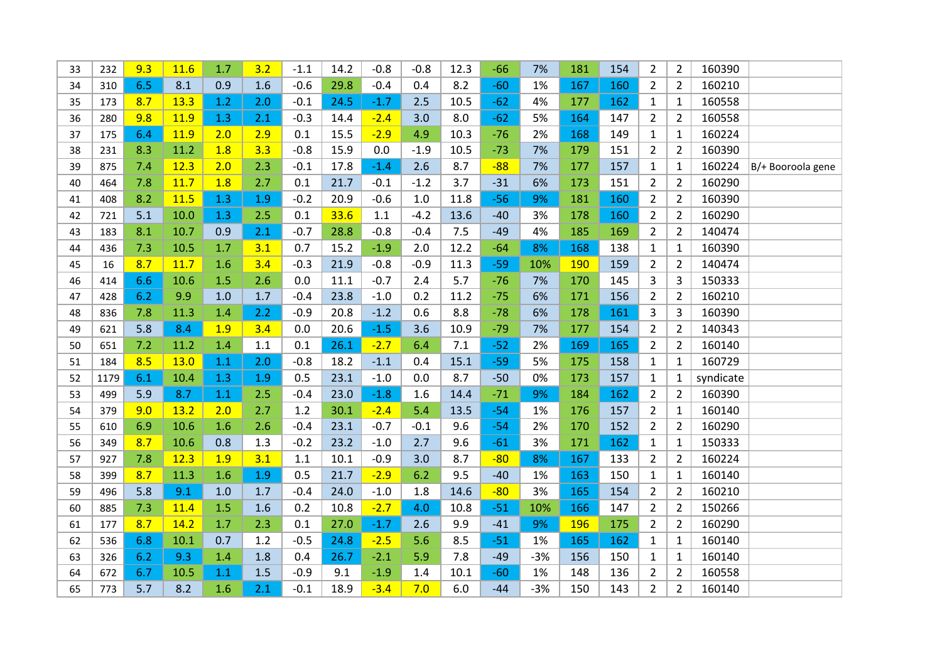| 33 | 232  | 9.3 | <b>11.6</b> | 1.7 | 3.2 | $-1.1$ | 14.2 | $-0.8$ | $-0.8$ | 12.3 | $-66$ | 7%    | 181 | 154 | $\overline{2}$ | $\overline{2}$ | 160390    |                   |
|----|------|-----|-------------|-----|-----|--------|------|--------|--------|------|-------|-------|-----|-----|----------------|----------------|-----------|-------------------|
| 34 | 310  | 6.5 | 8.1         | 0.9 | 1.6 | $-0.6$ | 29.8 | $-0.4$ | 0.4    | 8.2  | $-60$ | 1%    | 167 | 160 | $\overline{2}$ | $\overline{2}$ | 160210    |                   |
| 35 | 173  | 8.7 | 13.3        | 1.2 | 2.0 | $-0.1$ | 24.5 | $-1.7$ | 2.5    | 10.5 | $-62$ | 4%    | 177 | 162 | $\mathbf{1}$   | $\mathbf{1}$   | 160558    |                   |
| 36 | 280  | 9.8 | 11.9        | 1.3 | 2.1 | $-0.3$ | 14.4 | $-2.4$ | 3.0    | 8.0  | $-62$ | 5%    | 164 | 147 | $\overline{2}$ | $\overline{2}$ | 160558    |                   |
| 37 | 175  | 6.4 | 11.9        | 2.0 | 2.9 | 0.1    | 15.5 | $-2.9$ | 4.9    | 10.3 | $-76$ | 2%    | 168 | 149 | $\mathbf{1}$   | $\mathbf{1}$   | 160224    |                   |
| 38 | 231  | 8.3 | 11.2        | 1.8 | 3.3 | $-0.8$ | 15.9 | 0.0    | $-1.9$ | 10.5 | $-73$ | 7%    | 179 | 151 | $\overline{2}$ | $\overline{2}$ | 160390    |                   |
| 39 | 875  | 7.4 | 12.3        | 2.0 | 2.3 | $-0.1$ | 17.8 | $-1.4$ | 2.6    | 8.7  | $-88$ | 7%    | 177 | 157 | $\mathbf{1}$   | $\mathbf{1}$   | 160224    | B/+ Booroola gene |
| 40 | 464  | 7.8 | 11.7        | 1.8 | 2.7 | 0.1    | 21.7 | $-0.1$ | $-1.2$ | 3.7  | $-31$ | 6%    | 173 | 151 | $\overline{2}$ | $\overline{2}$ | 160290    |                   |
| 41 | 408  | 8.2 | 11.5        | 1.3 | 1.9 | $-0.2$ | 20.9 | $-0.6$ | 1.0    | 11.8 | $-56$ | 9%    | 181 | 160 | $\overline{2}$ | $\overline{2}$ | 160390    |                   |
| 42 | 721  | 5.1 | 10.0        | 1.3 | 2.5 | 0.1    | 33.6 | 1.1    | $-4.2$ | 13.6 | $-40$ | 3%    | 178 | 160 | $\overline{2}$ | $\overline{2}$ | 160290    |                   |
| 43 | 183  | 8.1 | 10.7        | 0.9 | 2.1 | $-0.7$ | 28.8 | $-0.8$ | $-0.4$ | 7.5  | $-49$ | 4%    | 185 | 169 | $\overline{2}$ | $\overline{2}$ | 140474    |                   |
| 44 | 436  | 7.3 | 10.5        | 1.7 | 3.1 | 0.7    | 15.2 | $-1.9$ | 2.0    | 12.2 | $-64$ | 8%    | 168 | 138 | $\mathbf{1}$   | $\mathbf{1}$   | 160390    |                   |
| 45 | 16   | 8.7 | 11.7        | 1.6 | 3.4 | $-0.3$ | 21.9 | $-0.8$ | $-0.9$ | 11.3 | $-59$ | 10%   | 190 | 159 | $\overline{2}$ | $\overline{2}$ | 140474    |                   |
| 46 | 414  | 6.6 | 10.6        | 1.5 | 2.6 | 0.0    | 11.1 | $-0.7$ | 2.4    | 5.7  | $-76$ | 7%    | 170 | 145 | $\overline{3}$ | 3              | 150333    |                   |
| 47 | 428  | 6.2 | 9.9         | 1.0 | 1.7 | $-0.4$ | 23.8 | $-1.0$ | 0.2    | 11.2 | $-75$ | 6%    | 171 | 156 | $\overline{2}$ | $\overline{2}$ | 160210    |                   |
| 48 | 836  | 7.8 | 11.3        | 1.4 | 2.2 | $-0.9$ | 20.8 | $-1.2$ | 0.6    | 8.8  | $-78$ | 6%    | 178 | 161 | 3              | 3              | 160390    |                   |
| 49 | 621  | 5.8 | 8.4         | 1.9 | 3.4 | 0.0    | 20.6 | $-1.5$ | 3.6    | 10.9 | $-79$ | 7%    | 177 | 154 | $\overline{2}$ | $\overline{2}$ | 140343    |                   |
| 50 | 651  | 7.2 | 11.2        | 1.4 | 1.1 | 0.1    | 26.1 | $-2.7$ | 6.4    | 7.1  | $-52$ | 2%    | 169 | 165 | $\overline{2}$ | $\overline{2}$ | 160140    |                   |
| 51 | 184  | 8.5 | 13.0        | 1.1 | 2.0 | $-0.8$ | 18.2 | $-1.1$ | 0.4    | 15.1 | $-59$ | 5%    | 175 | 158 | $\mathbf{1}$   | $\mathbf{1}$   | 160729    |                   |
| 52 | 1179 | 6.1 | 10.4        | 1.3 | 1.9 | 0.5    | 23.1 | $-1.0$ | 0.0    | 8.7  | $-50$ | 0%    | 173 | 157 | $\mathbf{1}$   | $\mathbf{1}$   | syndicate |                   |
| 53 | 499  | 5.9 | 8.7         | 1.1 | 2.5 | $-0.4$ | 23.0 | $-1.8$ | 1.6    | 14.4 | $-71$ | 9%    | 184 | 162 | $\overline{2}$ | $\overline{2}$ | 160390    |                   |
| 54 | 379  | 9.0 | 13.2        | 2.0 | 2.7 | 1.2    | 30.1 | $-2.4$ | 5.4    | 13.5 | $-54$ | 1%    | 176 | 157 | $\overline{2}$ | $\mathbf{1}$   | 160140    |                   |
| 55 | 610  | 6.9 | 10.6        | 1.6 | 2.6 | $-0.4$ | 23.1 | $-0.7$ | $-0.1$ | 9.6  | $-54$ | 2%    | 170 | 152 | $\overline{2}$ | $\overline{2}$ | 160290    |                   |
| 56 | 349  | 8.7 | 10.6        | 0.8 | 1.3 | $-0.2$ | 23.2 | $-1.0$ | 2.7    | 9.6  | $-61$ | 3%    | 171 | 162 | $\mathbf{1}$   | $\mathbf{1}$   | 150333    |                   |
| 57 | 927  | 7.8 | 12.3        | 1.9 | 3.1 | 1.1    | 10.1 | $-0.9$ | 3.0    | 8.7  | $-80$ | 8%    | 167 | 133 | $\overline{2}$ | $\overline{2}$ | 160224    |                   |
| 58 | 399  | 8.7 | 11.3        | 1.6 | 1.9 | 0.5    | 21.7 | $-2.9$ | 6.2    | 9.5  | $-40$ | 1%    | 163 | 150 | $\mathbf{1}$   | $\mathbf{1}$   | 160140    |                   |
| 59 | 496  | 5.8 | 9.1         | 1.0 | 1.7 | $-0.4$ | 24.0 | $-1.0$ | 1.8    | 14.6 | $-80$ | 3%    | 165 | 154 | $\overline{2}$ | $\overline{2}$ | 160210    |                   |
| 60 | 885  | 7.3 | 11.4        | 1.5 | 1.6 | 0.2    | 10.8 | $-2.7$ | 4.0    | 10.8 | $-51$ | 10%   | 166 | 147 | $\overline{2}$ | $\overline{2}$ | 150266    |                   |
| 61 | 177  | 8.7 | 14.2        | 1.7 | 2.3 | 0.1    | 27.0 | $-1.7$ | 2.6    | 9.9  | $-41$ | 9%    | 196 | 175 | $\overline{2}$ | $\overline{2}$ | 160290    |                   |
| 62 | 536  | 6.8 | 10.1        | 0.7 | 1.2 | $-0.5$ | 24.8 | $-2.5$ | 5.6    | 8.5  | $-51$ | 1%    | 165 | 162 | $\mathbf{1}$   | $\mathbf{1}$   | 160140    |                   |
| 63 | 326  | 6.2 | 9.3         | 1.4 | 1.8 | 0.4    | 26.7 | $-2.1$ | 5.9    | 7.8  | $-49$ | $-3%$ | 156 | 150 | $\mathbf{1}$   | $\mathbf{1}$   | 160140    |                   |
| 64 | 672  | 6.7 | 10.5        | 1.1 | 1.5 | $-0.9$ | 9.1  | $-1.9$ | 1.4    | 10.1 | $-60$ | 1%    | 148 | 136 | $\overline{2}$ | $\overline{2}$ | 160558    |                   |
| 65 | 773  | 5.7 | 8.2         | 1.6 | 2.1 | $-0.1$ | 18.9 | $-3.4$ | 7.0    | 6.0  | $-44$ | $-3%$ | 150 | 143 | $\overline{2}$ | $\overline{2}$ | 160140    |                   |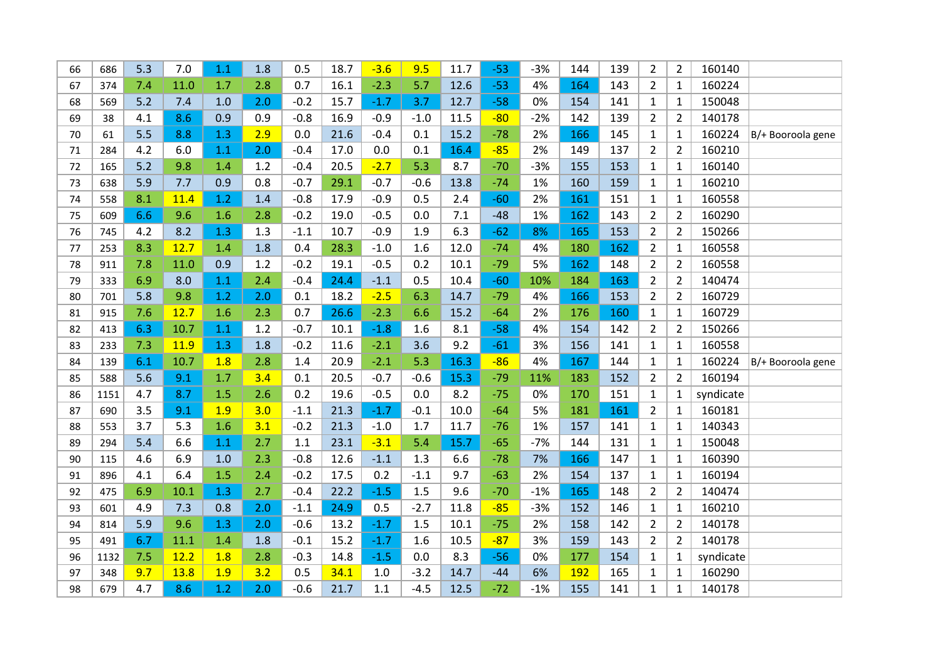| 66   | 686  | 5.3 | 7.0         | 1.1 | 1.8 | 0.5    | 18.7 | $-3.6$ | 9.5    | 11.7 | $-53$ | $-3%$ | 144        | 139 | $\overline{2}$ | $\overline{2}$ | 160140    |                   |
|------|------|-----|-------------|-----|-----|--------|------|--------|--------|------|-------|-------|------------|-----|----------------|----------------|-----------|-------------------|
| 67   | 374  | 7.4 | 11.0        | 1.7 | 2.8 | 0.7    | 16.1 | $-2.3$ | 5.7    | 12.6 | $-53$ | 4%    | 164        | 143 | $\overline{2}$ | $\mathbf{1}$   | 160224    |                   |
| 68   | 569  | 5.2 | 7.4         | 1.0 | 2.0 | $-0.2$ | 15.7 | $-1.7$ | 3.7    | 12.7 | $-58$ | 0%    | 154        | 141 | $\mathbf{1}$   | $\mathbf{1}$   | 150048    |                   |
| 69   | 38   | 4.1 | 8.6         | 0.9 | 0.9 | $-0.8$ | 16.9 | $-0.9$ | $-1.0$ | 11.5 | $-80$ | $-2%$ | 142        | 139 | $\overline{2}$ | $\overline{2}$ | 140178    |                   |
| 70   | 61   | 5.5 | 8.8         | 1.3 | 2.9 | 0.0    | 21.6 | $-0.4$ | 0.1    | 15.2 | $-78$ | 2%    | 166        | 145 | $\mathbf{1}$   | 1              | 160224    | B/+ Booroola gene |
| 71   | 284  | 4.2 | 6.0         | 1.1 | 2.0 | $-0.4$ | 17.0 | 0.0    | 0.1    | 16.4 | $-85$ | 2%    | 149        | 137 | $\overline{2}$ | $\overline{2}$ | 160210    |                   |
| 72   | 165  | 5.2 | 9.8         | 1.4 | 1.2 | $-0.4$ | 20.5 | $-2.7$ | 5.3    | 8.7  | $-70$ | $-3%$ | 155        | 153 | $\mathbf{1}$   | $\mathbf{1}$   | 160140    |                   |
| 73   | 638  | 5.9 | 7.7         | 0.9 | 0.8 | $-0.7$ | 29.1 | $-0.7$ | $-0.6$ | 13.8 | $-74$ | 1%    | 160        | 159 | $\mathbf{1}$   | $\mathbf{1}$   | 160210    |                   |
| 74   | 558  | 8.1 | 11.4        | 1.2 | 1.4 | $-0.8$ | 17.9 | $-0.9$ | 0.5    | 2.4  | $-60$ | 2%    | 161        | 151 | $\mathbf{1}$   | $\mathbf{1}$   | 160558    |                   |
| 75   | 609  | 6.6 | 9.6         | 1.6 | 2.8 | $-0.2$ | 19.0 | $-0.5$ | 0.0    | 7.1  | $-48$ | 1%    | 162        | 143 | $\overline{2}$ | $\overline{2}$ | 160290    |                   |
| 76   | 745  | 4.2 | 8.2         | 1.3 | 1.3 | $-1.1$ | 10.7 | $-0.9$ | 1.9    | 6.3  | $-62$ | 8%    | 165        | 153 | $\overline{2}$ | 2              | 150266    |                   |
| $77$ | 253  | 8.3 | 12.7        | 1.4 | 1.8 | 0.4    | 28.3 | $-1.0$ | 1.6    | 12.0 | $-74$ | 4%    | 180        | 162 | $\overline{2}$ | $\mathbf{1}$   | 160558    |                   |
| 78   | 911  | 7.8 | 11.0        | 0.9 | 1.2 | $-0.2$ | 19.1 | $-0.5$ | 0.2    | 10.1 | $-79$ | 5%    | 162        | 148 | $\overline{2}$ | $\overline{2}$ | 160558    |                   |
| 79   | 333  | 6.9 | 8.0         | 1.1 | 2.4 | $-0.4$ | 24.4 | $-1.1$ | 0.5    | 10.4 | $-60$ | 10%   | 184        | 163 | $\overline{2}$ | $\overline{2}$ | 140474    |                   |
| 80   | 701  | 5.8 | 9.8         | 1.2 | 2.0 | 0.1    | 18.2 | $-2.5$ | 6.3    | 14.7 | $-79$ | 4%    | 166        | 153 | $\overline{2}$ | $\overline{2}$ | 160729    |                   |
| 81   | 915  | 7.6 | 12.7        | 1.6 | 2.3 | 0.7    | 26.6 | $-2.3$ | 6.6    | 15.2 | $-64$ | 2%    | 176        | 160 | $\mathbf{1}$   | $\mathbf{1}$   | 160729    |                   |
| 82   | 413  | 6.3 | 10.7        | 1.1 | 1.2 | $-0.7$ | 10.1 | $-1.8$ | 1.6    | 8.1  | $-58$ | 4%    | 154        | 142 | $\overline{2}$ | $\overline{2}$ | 150266    |                   |
| 83   | 233  | 7.3 | <b>11.9</b> | 1.3 | 1.8 | $-0.2$ | 11.6 | $-2.1$ | 3.6    | 9.2  | $-61$ | 3%    | 156        | 141 | $\mathbf{1}$   | $\mathbf{1}$   | 160558    |                   |
| 84   | 139  | 6.1 | 10.7        | 1.8 | 2.8 | 1.4    | 20.9 | $-2.1$ | 5.3    | 16.3 | $-86$ | 4%    | 167        | 144 | $\mathbf{1}$   | $\mathbf{1}$   | 160224    | B/+ Booroola gene |
| 85   | 588  | 5.6 | 9.1         | 1.7 | 3.4 | 0.1    | 20.5 | $-0.7$ | $-0.6$ | 15.3 | $-79$ | 11%   | 183        | 152 | $\overline{2}$ | $\overline{2}$ | 160194    |                   |
| 86   | 1151 | 4.7 | 8.7         | 1.5 | 2.6 | 0.2    | 19.6 | $-0.5$ | 0.0    | 8.2  | $-75$ | 0%    | 170        | 151 | $\mathbf{1}$   | 1              | syndicate |                   |
| 87   | 690  | 3.5 | 9.1         | 1.9 | 3.0 | $-1.1$ | 21.3 | $-1.7$ | $-0.1$ | 10.0 | $-64$ | 5%    | 181        | 161 | $\overline{2}$ | $\mathbf{1}$   | 160181    |                   |
| 88   | 553  | 3.7 | 5.3         | 1.6 | 3.1 | $-0.2$ | 21.3 | $-1.0$ | 1.7    | 11.7 | $-76$ | 1%    | 157        | 141 | $\mathbf{1}$   | $\mathbf{1}$   | 140343    |                   |
| 89   | 294  | 5.4 | 6.6         | 1.1 | 2.7 | 1.1    | 23.1 | $-3.1$ | 5.4    | 15.7 | $-65$ | $-7%$ | 144        | 131 | $\mathbf{1}$   | $\mathbf{1}$   | 150048    |                   |
| 90   | 115  | 4.6 | 6.9         | 1.0 | 2.3 | $-0.8$ | 12.6 | $-1.1$ | 1.3    | 6.6  | $-78$ | 7%    | 166        | 147 | $\mathbf{1}$   | $\mathbf{1}$   | 160390    |                   |
| 91   | 896  | 4.1 | 6.4         | 1.5 | 2.4 | $-0.2$ | 17.5 | 0.2    | $-1.1$ | 9.7  | $-63$ | 2%    | 154        | 137 | $\mathbf{1}$   | $\mathbf{1}$   | 160194    |                   |
| 92   | 475  | 6.9 | 10.1        | 1.3 | 2.7 | $-0.4$ | 22.2 | $-1.5$ | 1.5    | 9.6  | $-70$ | $-1%$ | 165        | 148 | $\overline{2}$ | $\overline{2}$ | 140474    |                   |
| 93   | 601  | 4.9 | 7.3         | 0.8 | 2.0 | $-1.1$ | 24.9 | 0.5    | $-2.7$ | 11.8 | $-85$ | $-3%$ | 152        | 146 | $\mathbf{1}$   | $\mathbf{1}$   | 160210    |                   |
| 94   | 814  | 5.9 | 9.6         | 1.3 | 2.0 | $-0.6$ | 13.2 | $-1.7$ | 1.5    | 10.1 | $-75$ | 2%    | 158        | 142 | $\overline{2}$ | $\overline{2}$ | 140178    |                   |
| 95   | 491  | 6.7 | 11.1        | 1.4 | 1.8 | $-0.1$ | 15.2 | $-1.7$ | 1.6    | 10.5 | $-87$ | 3%    | 159        | 143 | $\overline{2}$ | $\overline{2}$ | 140178    |                   |
| 96   | 1132 | 7.5 | 12.2        | 1.8 | 2.8 | $-0.3$ | 14.8 | $-1.5$ | 0.0    | 8.3  | $-56$ | 0%    | 177        | 154 | $\mathbf{1}$   | $\mathbf{1}$   | syndicate |                   |
| 97   | 348  | 9.7 | 13.8        | 1.9 | 3.2 | 0.5    | 34.1 | 1.0    | $-3.2$ | 14.7 | $-44$ | 6%    | <b>192</b> | 165 | $\mathbf{1}$   | $\mathbf{1}$   | 160290    |                   |
| 98   | 679  | 4.7 | 8.6         | 1.2 | 2.0 | $-0.6$ | 21.7 | 1.1    | $-4.5$ | 12.5 | $-72$ | $-1%$ | 155        | 141 | $\mathbf{1}$   | $\mathbf{1}$   | 140178    |                   |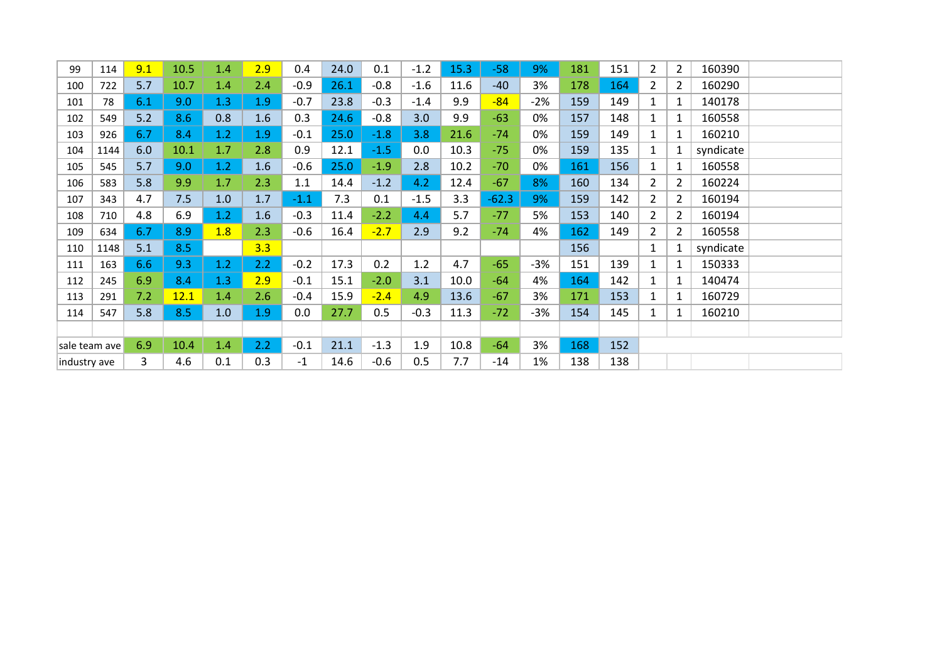| 99            | 114  | 9.1 | 10.5 | 1.4 | 2.9 | 0.4    | 24.0 | 0.1    | $-1.2$ | 15.3 | $-58$   | 9%    | 181 | 151 | $\overline{2}$  | $\overline{2}$ | 160390    |  |
|---------------|------|-----|------|-----|-----|--------|------|--------|--------|------|---------|-------|-----|-----|-----------------|----------------|-----------|--|
| 100           | 722  | 5.7 | 10.7 | 1.4 | 2.4 | $-0.9$ | 26.1 | $-0.8$ | $-1.6$ | 11.6 | $-40$   | 3%    | 178 | 164 | $2^{\circ}$     | $\overline{2}$ | 160290    |  |
| 101           | 78   | 6.1 | 9.0  | 1.3 | 1.9 | $-0.7$ | 23.8 | $-0.3$ | $-1.4$ | 9.9  | $-84$   | $-2%$ | 159 | 149 | $\mathbf{1}$    | $\mathbf{1}$   | 140178    |  |
| 102           | 549  | 5.2 | 8.6  | 0.8 | 1.6 | 0.3    | 24.6 | $-0.8$ | 3.0    | 9.9  | $-63$   | 0%    | 157 | 148 | $\mathbf{1}$    | $\mathbf{1}$   | 160558    |  |
| 103           | 926  | 6.7 | 8.4  | 1.2 | 1.9 | $-0.1$ | 25.0 | $-1.8$ | 3.8    | 21.6 | $-74$   | 0%    | 159 | 149 | $1\overline{ }$ | $\mathbf{1}$   | 160210    |  |
| 104           | 1144 | 6.0 | 10.1 | 1.7 | 2.8 | 0.9    | 12.1 | $-1.5$ | 0.0    | 10.3 | $-75$   | 0%    | 159 | 135 | $\mathbf{1}$    | $\mathbf{1}$   | syndicate |  |
| 105           | 545  | 5.7 | 9.0  | 1.2 | 1.6 | $-0.6$ | 25.0 | $-1.9$ | 2.8    | 10.2 | $-70$   | 0%    | 161 | 156 | $1\overline{ }$ | $\mathbf{1}$   | 160558    |  |
| 106           | 583  | 5.8 | 9.9  | 1.7 | 2.3 | 1.1    | 14.4 | $-1.2$ | 4.2    | 12.4 | $-67$   | 8%    | 160 | 134 | $\overline{2}$  | $\overline{2}$ | 160224    |  |
| 107           | 343  | 4.7 | 7.5  | 1.0 | 1.7 | $-1.1$ | 7.3  | 0.1    | $-1.5$ | 3.3  | $-62.3$ | 9%    | 159 | 142 | $\overline{2}$  | $\overline{2}$ | 160194    |  |
| 108           | 710  | 4.8 | 6.9  | 1.2 | 1.6 | $-0.3$ | 11.4 | $-2.2$ | 4.4    | 5.7  | $-77$   | 5%    | 153 | 140 | $\overline{2}$  | $\overline{2}$ | 160194    |  |
| 109           | 634  | 6.7 | 8.9  | 1.8 | 2.3 | $-0.6$ | 16.4 | $-2.7$ | 2.9    | 9.2  | $-74$   | 4%    | 162 | 149 | 2 <sup>1</sup>  | $\overline{2}$ | 160558    |  |
| 110           | 1148 | 5.1 | 8.5  |     | 3.3 |        |      |        |        |      |         |       | 156 |     | $\mathbf{1}$    | $\mathbf{1}$   | syndicate |  |
| 111           | 163  | 6.6 | 9.3  | 1.2 | 2.2 | $-0.2$ | 17.3 | 0.2    | 1.2    | 4.7  | $-65$   | $-3%$ | 151 | 139 | $1\overline{ }$ | $\mathbf{1}$   | 150333    |  |
| 112           | 245  | 6.9 | 8.4  | 1.3 | 2.9 | $-0.1$ | 15.1 | $-2.0$ | 3.1    | 10.0 | $-64$   | 4%    | 164 | 142 | $1\overline{ }$ | $\mathbf{1}$   | 140474    |  |
| 113           | 291  | 7.2 | 12.1 | 1.4 | 2.6 | $-0.4$ | 15.9 | $-2.4$ | 4.9    | 13.6 | $-67$   | 3%    | 171 | 153 | $1\overline{ }$ | $\mathbf{1}$   | 160729    |  |
| 114           | 547  | 5.8 | 8.5  | 1.0 | 1.9 | 0.0    | 27.7 | 0.5    | $-0.3$ | 11.3 | $-72$   | -3%   | 154 | 145 | $1\overline{ }$ | $\mathbf{1}$   | 160210    |  |
|               |      |     |      |     |     |        |      |        |        |      |         |       |     |     |                 |                |           |  |
| sale team ave |      | 6.9 | 10.4 | 1.4 | 2.2 | $-0.1$ | 21.1 | $-1.3$ | 1.9    | 10.8 | $-64$   | 3%    | 168 | 152 |                 |                |           |  |
| industry ave  |      | 3   | 4.6  | 0.1 | 0.3 | $-1$   | 14.6 | $-0.6$ | 0.5    | 7.7  | $-14$   | 1%    | 138 | 138 |                 |                |           |  |